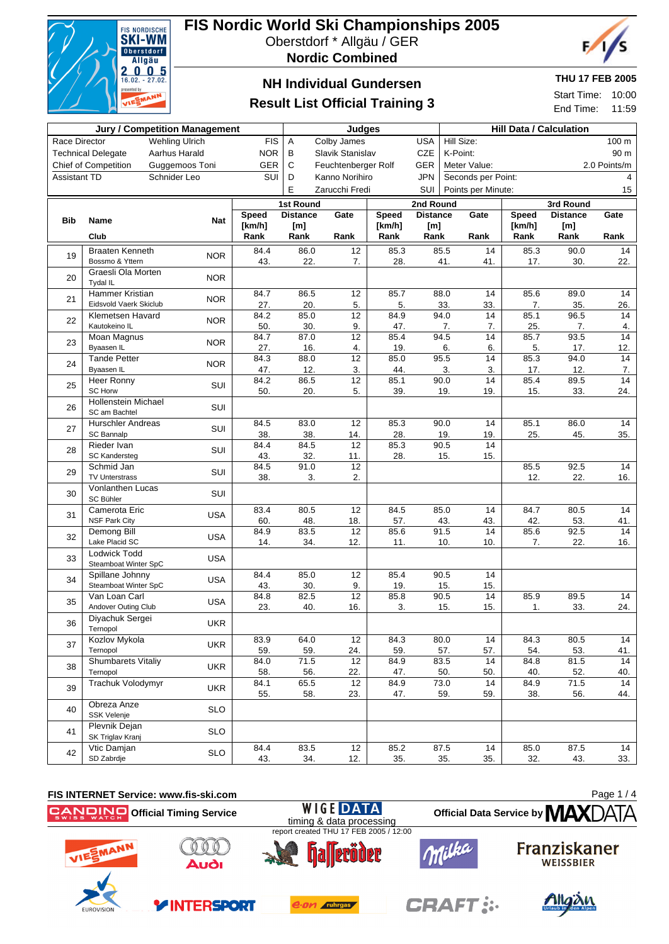

## **FIS Nordic World Ski Championships 2005**

Oberstdorf \* Allgäu / GER

**Nordic Combined**



## **NH Individual Gundersen**

### **Result List Official Training 3**

### **THU 17 FEB 2005**

Start Time: 10:00 End Time: 11:59

|                                        | <b>Jury / Competition Management</b>   |                |              | Judges                                 |                        |             | <b>Hill Data / Calculation</b> |                          |                              |              |                 |           |  |  |  |
|----------------------------------------|----------------------------------------|----------------|--------------|----------------------------------------|------------------------|-------------|--------------------------------|--------------------------|------------------------------|--------------|-----------------|-----------|--|--|--|
| Race Director<br><b>Wehling Ulrich</b> |                                        | <b>FIS</b>     | Α            | Colby James                            |                        | <b>USA</b>  | Hill Size:<br>100 m            |                          |                              |              |                 |           |  |  |  |
|                                        | <b>Technical Delegate</b>              | Aarhus Harald  | <b>NOR</b>   | B<br>CZE<br>Slavik Stanislav           |                        |             |                                | K-Point:<br>90 m         |                              |              |                 |           |  |  |  |
|                                        | <b>Chief of Competition</b>            | Guggemoos Toni | GER          | C<br>Feuchtenberger Rolf<br><b>GER</b> |                        |             |                                |                          | Meter Value:<br>2.0 Points/m |              |                 |           |  |  |  |
| <b>Assistant TD</b>                    |                                        | Schnider Leo   | SUI          | D                                      | Kanno Norihiro         |             | <b>JPN</b>                     |                          | Seconds per Point:           |              |                 | 4         |  |  |  |
|                                        |                                        |                |              | E                                      | Zarucchi Fredi         |             | SUI                            | Points per Minute:<br>15 |                              |              |                 |           |  |  |  |
|                                        |                                        |                |              | 1st Round                              |                        |             | 2nd Round                      |                          |                              |              | 3rd Round       |           |  |  |  |
| <b>Bib</b><br><b>Name</b>              |                                        | Nat            | <b>Speed</b> | <b>Distance</b>                        | Gate                   | Speed       | <b>Distance</b>                |                          | Gate                         | <b>Speed</b> | <b>Distance</b> | Gate      |  |  |  |
|                                        |                                        |                | [km/h]       | [m]                                    |                        | [km/h]      | [m]                            |                          |                              | [km/h]       | [m]             |           |  |  |  |
|                                        | Club                                   |                | Rank         | Rank                                   | Rank                   | Rank        | Rank                           |                          | Rank                         | Rank         | Rank            | Rank      |  |  |  |
| 19                                     | <b>Braaten Kenneth</b>                 | <b>NOR</b>     | 84.4         | 86.0                                   | 12                     | 85.3        |                                | 85.5                     | 14                           | 85.3         | 90.0            | 14        |  |  |  |
|                                        | Bossmo & Yttern                        |                | 43.          | 22.                                    | 7.                     | 28.         |                                | 41.                      | 41.                          | 17.          | 30.             | 22.       |  |  |  |
| 20                                     | Graesli Ola Morten<br>Tydal IL         | <b>NOR</b>     |              |                                        |                        |             |                                |                          |                              |              |                 |           |  |  |  |
|                                        | <b>Hammer Kristian</b>                 |                | 84.7         | 86.5                                   | $\overline{12}$        | 85.7        |                                | 88.0                     | 14                           | 85.6         | 89.0            | 14        |  |  |  |
| 21                                     | Eidsvold Vaerk Skiclub                 | <b>NOR</b>     | 27.          | 20.                                    | 5.                     | 5.          |                                | 33.                      | 33.                          | 7.           | 35.             | 26.       |  |  |  |
| 22                                     | Klemetsen Havard                       | <b>NOR</b>     | 84.2         | 85.0                                   | 12                     | 84.9        |                                | 94.0                     | 14                           | 85.1         | 96.5            | 14        |  |  |  |
|                                        | Kautokeino IL                          |                | 50.          | 30.                                    | 9.                     | 47.         |                                | 7.                       | 7.                           | 25.          | 7.              | 4.        |  |  |  |
| 23                                     | Moan Magnus<br>Byaasen IL              | <b>NOR</b>     | 84.7<br>27.  | 87.0<br>16.                            | $\overline{12}$<br>4.  | 85.4<br>19. |                                | 94.5                     | 14<br>6.                     | 85.7<br>5.   | 93.5            | 14<br>12. |  |  |  |
|                                        | <b>Tande Petter</b>                    |                | 84.3         | 88.0                                   | 12                     | 85.0        |                                | 6.<br>95.5               | 14                           | 85.3         | 17.<br>94.0     | 14        |  |  |  |
| 24                                     | Byaasen IL                             | <b>NOR</b>     | 47.          | 12.                                    | 3.                     | 44.         |                                | 3.                       | 3.                           | 17.          | 12.             | 7.        |  |  |  |
|                                        | Heer Ronny                             |                | 84.2         | 86.5                                   | 12                     | 85.1        |                                | 90.0                     | 14                           | 85.4         | 89.5            | 14        |  |  |  |
| 25                                     | <b>SC Horw</b>                         | SUI            | 50.          | 20.                                    | 5.                     | 39.         |                                | 19.                      | 19.                          | 15.          | 33.             | 24.       |  |  |  |
| 26                                     | <b>Hollenstein Michael</b>             | SUI            |              |                                        |                        |             |                                |                          |                              |              |                 |           |  |  |  |
|                                        | SC am Bachtel                          |                |              |                                        |                        |             |                                |                          |                              |              |                 |           |  |  |  |
| 27                                     | <b>Hurschler Andreas</b><br>SC Bannalp | SUI            | 84.5<br>38.  | 83.0<br>38.                            | 12<br>14.              | 85.3<br>28. |                                | 90.0<br>19.              | 14<br>19.                    | 85.1<br>25.  | 86.0<br>45.     | 14<br>35. |  |  |  |
|                                        | Rieder Ivan                            |                | 84.4         | 84.5                                   | 12                     | 85.3        |                                | 90.5                     | 14                           |              |                 |           |  |  |  |
| 28                                     | <b>SC Kandersteg</b>                   | SUI            | 43.          | 32.                                    | 11.                    | 28.         |                                | 15.                      | 15.                          |              |                 |           |  |  |  |
| 29                                     | Schmid Jan                             | SUI            | 84.5         | 91.0                                   | 12                     |             |                                |                          |                              | 85.5         | 92.5            | 14        |  |  |  |
|                                        | <b>TV Unterstrass</b>                  |                | 38.          | 3.                                     | 2.                     |             |                                |                          |                              | 12.          | 22.             | 16.       |  |  |  |
| 30                                     | <b>Vonlanthen Lucas</b><br>SC Bühler   | SUI            |              |                                        |                        |             |                                |                          |                              |              |                 |           |  |  |  |
| 31                                     | Camerota Eric                          | <b>USA</b>     | 83.4         | 80.5                                   | 12                     | 84.5        |                                | 85.0                     | 14                           | 84.7         | 80.5            | 14        |  |  |  |
|                                        | <b>NSF Park City</b>                   |                | 60.          | 48.                                    | 18.                    | 57.         |                                | 43.                      | 43.                          | 42.          | 53.             | 41.       |  |  |  |
| 32                                     | Demong Bill<br>Lake Placid SC          | <b>USA</b>     | 84.9<br>14.  | 83.5<br>34.                            | $\overline{12}$<br>12. | 85.6<br>11. |                                | 91.5<br>10.              | $\overline{14}$<br>10.       | 85.6<br>7.   | 92.5<br>22.     | 14<br>16. |  |  |  |
|                                        | <b>Lodwick Todd</b>                    |                |              |                                        |                        |             |                                |                          |                              |              |                 |           |  |  |  |
| 33                                     | Steamboat Winter SpC                   | <b>USA</b>     |              |                                        |                        |             |                                |                          |                              |              |                 |           |  |  |  |
| 34                                     | Spillane Johnny                        | <b>USA</b>     | 84.4         | 85.0                                   | 12                     | 85.4        |                                | 90.5                     | 14                           |              |                 |           |  |  |  |
|                                        | Steamboat Winter SpC                   |                | 43.          | 30.                                    | 9.                     | 19.         |                                | 15.                      | 15.                          |              |                 |           |  |  |  |
| 35                                     | Van Loan Carl<br>Andover Outing Club   | <b>USA</b>     | 84.8<br>23.  | 82.5<br>40.                            | 12<br>16.              | 85.8<br>3.  |                                | 90.5<br>15.              | 14<br>15.                    | 85.9<br>1.   | 89.5<br>33.     | 14<br>24. |  |  |  |
| 36                                     | Diyachuk Sergei<br>Ternopol            | <b>UKR</b>     |              |                                        |                        |             |                                |                          |                              |              |                 |           |  |  |  |
| 37                                     | Kozlov Mykola                          | <b>UKR</b>     | 83.9         | 64.0                                   | 12                     | 84.3        |                                | 80.0                     | 14                           | 84.3         | 80.5            | 14        |  |  |  |
|                                        | Ternopol                               |                | 59.          | 59.                                    | 24.                    | 59.         |                                | 57.                      | 57.                          | 54.          | 53.             | 41.       |  |  |  |
| 38                                     | <b>Shumbarets Vitaliy</b>              | <b>UKR</b>     | 84.0         | 71.5                                   | 12                     | 84.9        |                                | 83.5                     | 14                           | 84.8         | 81.5            | 14        |  |  |  |
|                                        | Ternopol                               |                | 58.          | 56.                                    | 22.                    | 47.         |                                | 50.                      | 50.                          | 40.          | 52.             | 40.       |  |  |  |
| 39                                     | Trachuk Volodymyr                      | <b>UKR</b>     | 84.1<br>55.  | 65.5<br>58.                            | 12<br>23.              | 84.9<br>47. |                                | 73.0<br>59.              | 14<br>59.                    | 84.9<br>38.  | 71.5<br>56.     | 14<br>44. |  |  |  |
| 40                                     | Obreza Anze                            |                |              |                                        |                        |             |                                |                          |                              |              |                 |           |  |  |  |
|                                        | <b>SSK Velenje</b>                     | <b>SLO</b>     |              |                                        |                        |             |                                |                          |                              |              |                 |           |  |  |  |
| 41                                     | Plevnik Dejan<br>SK Triglav Kranj      | <b>SLO</b>     |              |                                        |                        |             |                                |                          |                              |              |                 |           |  |  |  |
| 42                                     | Vtic Damjan                            | <b>SLO</b>     | 84.4         | 83.5                                   | 12                     | 85.2        |                                | 87.5                     | 14                           | 85.0         | 87.5            | 14        |  |  |  |
|                                        | SD Zabrdje                             |                | 43.          | 34.                                    | 12.                    | 35.         |                                | 35.                      | 35.                          | 32.          | 43.             | 33.       |  |  |  |

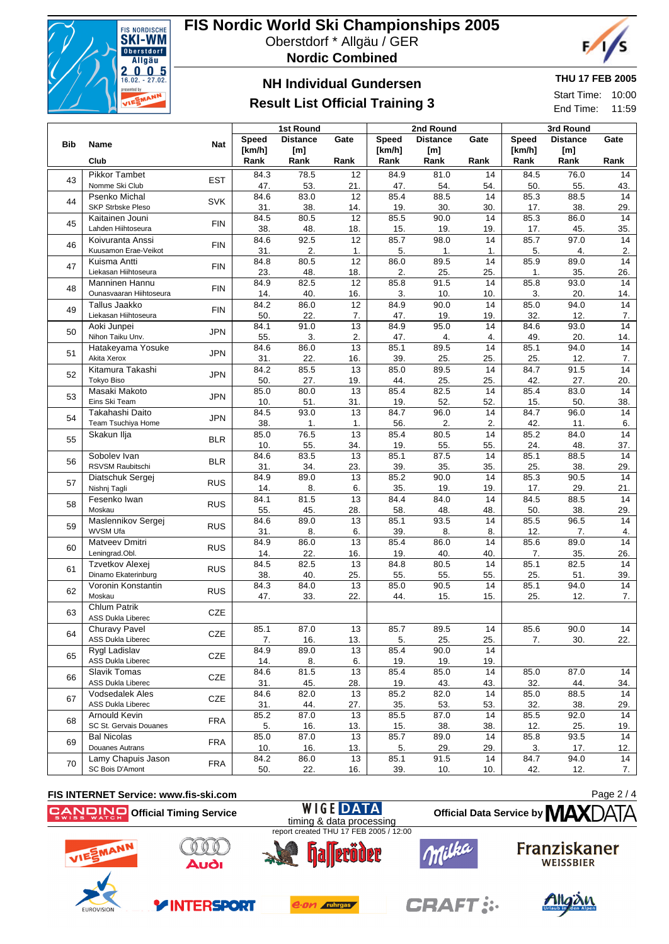

# **FIS Nordic World Ski Championships 2005**

Oberstdorf \* Allgäu / GER



### **NH Individual Gundersen**

## **Result List Official Training 3**

### **THU 17 FEB 2005**

F,

Start Time: 10:00 End Time: 11:59

|            |                          |            |        | 1st Round       |                 |              | 2nd Round       |      | 3rd Round    |                 |      |  |
|------------|--------------------------|------------|--------|-----------------|-----------------|--------------|-----------------|------|--------------|-----------------|------|--|
|            |                          |            | Speed  | <b>Distance</b> | Gate            | <b>Speed</b> | <b>Distance</b> | Gate | <b>Speed</b> | <b>Distance</b> | Gate |  |
| <b>Bib</b> | Name                     | <b>Nat</b> | [km/h] | [m]             |                 | [km/h]       | [m]             |      | [km/h]       | [m]             |      |  |
|            | Club                     |            | Rank   | Rank            | Rank            | Rank         | Rank            | Rank | Rank         | Rank            | Rank |  |
|            | Pikkor Tambet            |            | 84.3   | 78.5            | 12              | 84.9         | 81.0            | 14   | 84.5         | 76.0            | 14   |  |
| 43         | Nomme Ski Club           | <b>EST</b> | 47.    | 53.             | 21.             | 47.          | 54.             | 54.  | 50.          | 55.             | 43.  |  |
|            | Psenko Michal            |            | 84.6   | 83.0            | 12              | 85.4         | 88.5            | 14   | 85.3         | 88.5            | 14   |  |
| 44         | <b>SKP Strbske Pleso</b> | SVK        | 31.    | 38.             | 14.             | 19.          | 30.             | 30.  | 17.          | 38.             | 29.  |  |
|            | Kaitainen Jouni          |            | 84.5   | 80.5            | 12              | 85.5         | 90.0            | 14   | 85.3         | 86.0            | 14   |  |
| 45         | Lahden Hiihtoseura       | <b>FIN</b> | 38.    | 48.             | 18.             | 15.          | 19.             | 19.  | 17.          | 45.             | 35.  |  |
|            | Koivuranta Anssi         |            | 84.6   | 92.5            | 12              | 85.7         | 98.0            | 14   | 85.7         | 97.0            | 14   |  |
| 46         | Kuusamon Erae-Veikot     | <b>FIN</b> | 31.    | 2.              | 1.              | 5.           | 1.              | 1.   | 5.           | 4.              | 2.   |  |
|            | Kuisma Antti             | <b>FIN</b> | 84.8   | 80.5            | 12              | 86.0         | 89.5            | 14   | 85.9         | 89.0            | 14   |  |
| 47         | Liekasan Hiihtoseura     |            | 23.    | 48.             | 18.             | 2.           | 25.             | 25.  | 1.           | 35.             | 26.  |  |
|            | Manninen Hannu           |            | 84.9   | 82.5            | 12              | 85.8         | 91.5            | 14   | 85.8         | 93.0            | 14   |  |
| 48         | Ounasvaaran Hiihtoseura  | <b>FIN</b> | 14.    | 40.             | 16.             | 3.           | 10.             | 10.  | 3.           | 20.             | 14.  |  |
| 49         | Tallus Jaakko            | <b>FIN</b> | 84.2   | 86.0            | 12              | 84.9         | 90.0            | 14   | 85.0         | 94.0            | 14   |  |
|            | Liekasan Hiihtoseura     |            | 50.    | 22.             | 7.              | 47.          | 19.             | 19.  | 32.          | 12.             | 7.   |  |
| 50         | Aoki Junpei              | <b>JPN</b> | 84.1   | 91.0            | $\overline{13}$ | 84.9         | 95.0            | 14   | 84.6         | 93.0            | 14   |  |
|            | Nihon Taiku Unv.         |            | 55.    | 3.              | 2.              | 47.          | 4.              | 4.   | 49.          | 20.             | 14.  |  |
| 51         | Hatakeyama Yosuke        | <b>JPN</b> | 84.6   | 86.0            | $\overline{13}$ | 85.1         | 89.5            | 14   | 85.1         | 94.0            | 14   |  |
|            | Akita Xerox              |            | 31.    | 22.             | 16.             | 39.          | 25.             | 25.  | 25.          | 12.             | 7.   |  |
| 52         | Kitamura Takashi         | <b>JPN</b> | 84.2   | 85.5            | 13              | 85.0         | 89.5            | 14   | 84.7         | 91.5            | 14   |  |
|            | <b>Tokyo Biso</b>        |            | 50.    | 27.             | 19.             | 44.          | 25.             | 25.  | 42.          | 27.             | 20.  |  |
| 53         | Masaki Makoto            | <b>JPN</b> | 85.0   | 80.0            | 13              | 85.4         | 82.5            | 14   | 85.4         | 83.0            | 14   |  |
|            | Eins Ski Team            |            | 10.    | 51.             | 31.             | 19.          | 52.             | 52.  | 15.          | 50.             | 38.  |  |
| 54         | Takahashi Daito          | <b>JPN</b> | 84.5   | 93.0            | 13              | 84.7         | 96.0            | 14   | 84.7         | 96.0            | 14   |  |
|            | Team Tsuchiya Home       |            | 38.    | 1.              | 1.              | 56.          | 2.              | 2.   | 42.          | 11.             | 6.   |  |
| 55         | Skakun Ilja              | <b>BLR</b> | 85.0   | 76.5            | 13              | 85.4         | 80.5            | 14   | 85.2         | 84.0            | 14   |  |
|            |                          |            | 10.    | 55.             | 34.             | 19.          | 55.             | 55.  | 24.          | 48.             | 37.  |  |
| 56         | Sobolev Ivan             | <b>BLR</b> | 84.6   | 83.5            | 13              | 85.1         | 87.5            | 14   | 85.1         | 88.5            | 14   |  |
|            | RSVSM Raubitschi         |            | 31.    | 34.             | 23.             | 39.          | 35.             | 35.  | 25.          | 38.             | 29.  |  |
| 57         | Diatschuk Sergej         | <b>RUS</b> | 84.9   | 89.0            | 13              | 85.2         | 90.0            | 14   | 85.3         | 90.5            | 14   |  |
|            | Nishnj Tagli             |            | 14.    | 8.              | 6.              | 35.          | 19.             | 19.  | 17.          | 29.             | 21.  |  |
| 58         | Fesenko Iwan             | <b>RUS</b> | 84.1   | 81.5            | 13              | 84.4         | 84.0            | 14   | 84.5         | 88.5            | 14   |  |
|            | Moskau                   |            | 55.    | 45.             | 28.             | 58.          | 48.             | 48.  | 50.          | 38.             | 29.  |  |
| 59         | Maslennikov Sergej       | <b>RUS</b> | 84.6   | 89.0            | $\overline{13}$ | 85.1         | 93.5            | 14   | 85.5         | 96.5            | 14   |  |
|            | <b>WVSM Ufa</b>          |            | 31.    | 8.              | 6.              | 39.          | 8.              | 8.   | 12.          | 7.              | 4.   |  |
| 60         | Matveev Dmitri           | <b>RUS</b> | 84.9   | 86.0            | 13              | 85.4         | 86.0            | 14   | 85.6         | 89.0            | 14   |  |
|            | Leningrad.Obl.           |            | 14.    | 22.             | 16.             | 19.          | 40.             | 40.  | 7.           | 35.             | 26.  |  |
| 61         | Tzvetkov Alexei          | <b>RUS</b> | 84.5   | 82.5            | 13              | 84.8         | 80.5            | 14   | 85.1         | 82.5            | 14   |  |
|            | Dinamo Ekaterinburg      |            | 38.    | 40.             | 25.             | 55.          | 55.             | 55.  | 25.          | 51.             | 39.  |  |
| 62         | Voronin Konstantin       | <b>RUS</b> | 84.3   | 84.0            | 13              | 85.0         | 90.5            | 14   | 85.1         | 94.0            | 14   |  |
|            | Moskau                   |            | 47.    | 33.             | 22.             | 44.          | 15.             | 15.  | 25.          | 12.             | 7.   |  |
| 63         | <b>Chlum Patrik</b>      | CZE        |        |                 |                 |              |                 |      |              |                 |      |  |
|            | ASS Dukla Liberec        |            |        |                 |                 |              |                 |      |              |                 |      |  |
| 64         | Churavy Pavel            | CZE        | 85.1   | 87.0            | 13              | 85.7         | 89.5            | 14   | 85.6         | 90.0            | 14   |  |
|            | <b>ASS Dukla Liberec</b> |            | 7.     | 16.             | 13.             | 5.           | 25.             | 25.  | 7.           | 30.             | 22.  |  |
| 65         | Rygl Ladislav            | <b>CZE</b> | 84.9   | 89.0            | 13              | 85.4         | 90.0            | 14   |              |                 |      |  |
|            | ASS Dukla Liberec        |            | 14.    | 8.              | 6.              | 19.          | 19.             | 19.  |              |                 |      |  |
| 66         | Slavik Tomas             | CZE        | 84.6   | 81.5            | 13              | 85.4         | 85.0            | 14   | 85.0         | 87.0            | 14   |  |
|            | ASS Dukla Liberec        |            | 31.    | 45.             | 28.             | 19.          | 43.             | 43.  | 32.          | 44.             | 34.  |  |
| 67         | <b>Vodsedalek Ales</b>   | <b>CZE</b> | 84.6   | 82.0            | 13              | 85.2         | 82.0            | 14   | 85.0         | 88.5            | 14   |  |
|            | ASS Dukla Liberec        |            | 31.    | 44.             | 27.             | 35.          | 53.             | 53.  | 32.          | 38.             | 29.  |  |
| 68         | Arnould Kevin            | <b>FRA</b> | 85.2   | 87.0            | 13              | 85.5         | 87.0            | 14   | 85.5         | 92.0            | 14   |  |
|            | SC St. Gervais Douanes   |            | 5.     | 16.             | 13.             | 15.          | 38.             | 38.  | 12.          | 25.             | 19.  |  |
| 69         | <b>Bal Nicolas</b>       | <b>FRA</b> | 85.0   | 87.0            | 13              | 85.7         | 89.0            | 14   | 85.8         | 93.5            | 14   |  |
|            | Douanes Autrans          |            | 10.    | 16.             | 13.             | 5.           | 29.             | 29.  | 3.           | 17.             | 12.  |  |
| 70         | Lamy Chapuis Jason       | <b>FRA</b> | 84.2   | 86.0            | 13              | 85.1         | 91.5            | 14   | 84.7         | 94.0            | 14   |  |
|            | SC Bois D'Amont          |            | 50.    | 22.             | 16.             | 39.          | 10.             | 10.  | 42.          | 12.             | 7.   |  |

#### **FIS INTERNET Service: www.fis-ski.com WIGE DATA**

Page 2 / 4



**EUROVISIOI** 

**OFFICIAL Official Timing Service** 



**YINTERSPORT** 



e.on ruhrgas



**CRAFT:** 



**Official Data Service by MAX** 

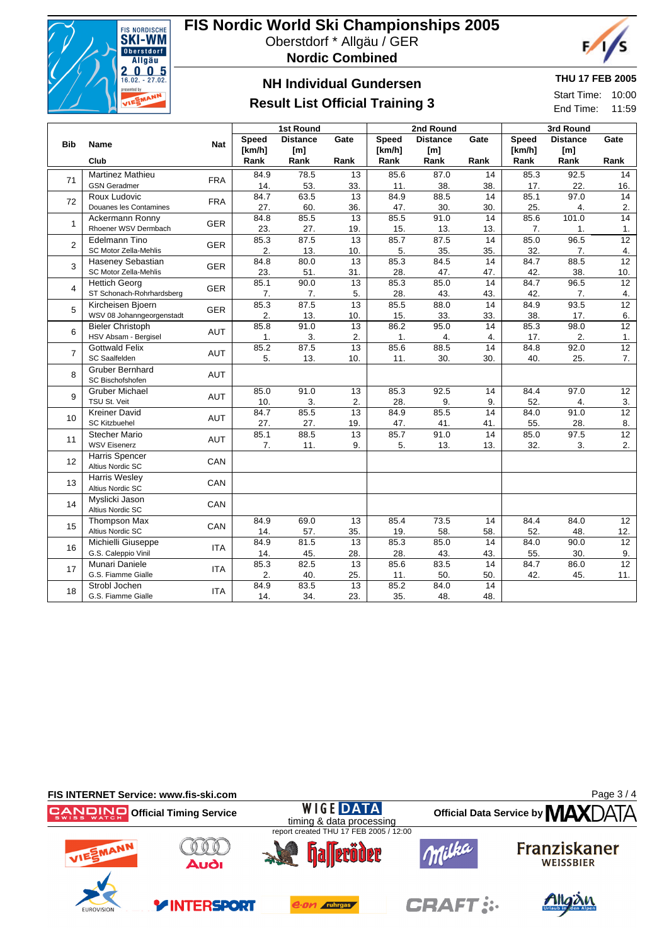

# **FIS Nordic World Ski Championships 2005**

Oberstdorf \* Allgäu / GER

**Nordic Combined**



## **NH Individual Gundersen**

## **Result List Official Training 3**

### **THU 17 FEB 2005**

Start Time: 10:00 End Time: 11:59

|                |                                            |            |             | 1st Round       |                        |              | 2nd Round       |                        | 3rd Round    |                  |                                     |  |
|----------------|--------------------------------------------|------------|-------------|-----------------|------------------------|--------------|-----------------|------------------------|--------------|------------------|-------------------------------------|--|
|                |                                            |            | Speed       | <b>Distance</b> | Gate                   | <b>Speed</b> | <b>Distance</b> | Gate                   | <b>Speed</b> | <b>Distance</b>  | Gate                                |  |
| <b>Bib</b>     | <b>Name</b>                                | <b>Nat</b> | [km/h]      | [m]             |                        | [km/h]       | [m]             |                        | [km/h]       | [m]              |                                     |  |
|                | Club                                       |            | Rank        | Rank            | Rank                   | Rank         | Rank            | Rank                   | Rank         | Rank             | Rank                                |  |
| 71             | <b>Martinez Mathieu</b>                    |            | 84.9        | 78.5            | 13                     | 85.6         | 87.0            | 14                     | 85.3         | 92.5             | 14                                  |  |
|                | <b>GSN Geradmer</b>                        | <b>FRA</b> | 14.         | 53.             | 33.                    | 11.          | 38.             | 38.                    | 17.          | 22.              | 16.                                 |  |
| 72             | Roux Ludovic                               | <b>FRA</b> | 84.7        | 63.5            | 13                     | 84.9         | 88.5            | 14                     | 85.1         | 97.0             | 14                                  |  |
|                | Douanes les Contamines                     |            | 27.         | 60.             | 36.                    | 47.          | 30.             | 30.                    | 25.          | 4.               | 2.                                  |  |
| $\mathbf{1}$   | Ackermann Ronny                            | <b>GER</b> | 84.8        | 85.5            | 13                     | 85.5         | 91.0            | 14                     | 85.6         | 101.0            | 14                                  |  |
|                | Rhoener WSV Dermbach                       |            | 23.         | 27.             | 19.                    | 15.          | 13.             | 13.                    | 7.           | $\mathbf 1$ .    | 1.                                  |  |
| $\overline{2}$ | Edelmann Tino                              | <b>GER</b> | 85.3        | 87.5            | $\overline{13}$        | 85.7         | 87.5            | $\overline{14}$        | 85.0         | 96.5             | $\overline{12}$                     |  |
|                | SC Motor Zella-Mehlis                      |            | 2.          | 13.             | 10.                    | 5.           | 35.             | 35.                    | 32.          | 7.               | $\overline{4}$ .<br>$\overline{12}$ |  |
| 3              | Haseney Sebastian<br>SC Motor Zella-Mehlis | <b>GER</b> | 84.8<br>23. | 80.0<br>51.     | 13<br>31.              | 85.3<br>28.  | 84.5<br>47.     | 14<br>47.              | 84.7<br>42.  | 88.5<br>38.      | 10.                                 |  |
|                | <b>Hettich Georg</b>                       |            | 85.1        | 90.0            | 13                     | 85.3         | 85.0            | 14                     | 84.7         | 96.5             | $\overline{12}$                     |  |
| 4              | ST Schonach-Rohrhardsberg                  | <b>GER</b> | 7.          | 7.              | 5.                     | 28.          | 43.             | 43.                    | 42.          | 7.               | 4.                                  |  |
|                | Kircheisen Bjoern                          |            | 85.3        | 87.5            | 13                     | 85.5         | 88.0            | 14                     | 84.9         | 93.5             | 12                                  |  |
| 5              | WSV 08 Johanngeorgenstadt                  | <b>GER</b> | 2.          | 13.             | 10.                    | 15.          | 33.             | 33.                    | 38.          | 17.              | 6.                                  |  |
|                | <b>Bieler Christoph</b>                    |            | 85.8        | 91.0            | $\overline{13}$        | 86.2         | 95.0            | $\overline{14}$        | 85.3         | 98.0             | $\overline{12}$                     |  |
| 6              | HSV Absam - Bergisel                       | <b>AUT</b> | 1.          | 3.              | 2.                     | 1.           | 4.              | 4.                     | 17.          | 2.               | 1.                                  |  |
| $\overline{7}$ | <b>Gottwald Felix</b>                      | <b>AUT</b> | 85.2        | 87.5            | $\overline{13}$        | 85.6         | 88.5            | 14                     | 84.8         | 92.0             | 12                                  |  |
|                | SC Saalfelden                              |            | 5.          | 13.             | 10.                    | 11.          | 30.             | 30.                    | 40.          | 25.              | 7.                                  |  |
| 8              | <b>Gruber Bernhard</b><br>SC Bischofshofen | <b>AUT</b> |             |                 |                        |              |                 |                        |              |                  |                                     |  |
|                | <b>Gruber Michael</b>                      |            | 85.0        | 91.0            | 13                     | 85.3         | 92.5            | 14                     | 84.4         | 97.0             | 12                                  |  |
| 9              | TSU St. Veit                               | <b>AUT</b> | 10.         | 3.              | 2.                     | 28.          | 9.              | 9.                     | 52.          | $\overline{4}$ . | 3.                                  |  |
|                | <b>Kreiner David</b>                       |            | 84.7        | 85.5            | 13                     | 84.9         | 85.5            | 14                     | 84.0         | 91.0             | $\overline{12}$                     |  |
| 10             | <b>SC Kitzbuehel</b>                       | <b>AUT</b> | 27.         | 27.             | 19.                    | 47.          | 41.             | 41.                    | 55.          | 28.              | 8.                                  |  |
|                | <b>Stecher Mario</b>                       |            | 85.1        | 88.5            | 13                     | 85.7         | 91.0            | 14                     | 85.0         | 97.5             | $\overline{12}$                     |  |
| 11             | <b>WSV Eisenerz</b>                        | <b>AUT</b> | 7.          | 11.             | 9.                     | 5.           | 13.             | 13.                    | 32.          | 3.               | 2.                                  |  |
|                | Harris Spencer                             |            |             |                 |                        |              |                 |                        |              |                  |                                     |  |
| 12             | Altius Nordic SC                           | CAN        |             |                 |                        |              |                 |                        |              |                  |                                     |  |
| 13             | <b>Harris Wesley</b><br>Altius Nordic SC   | CAN        |             |                 |                        |              |                 |                        |              |                  |                                     |  |
| 14             | Myslicki Jason                             | CAN        |             |                 |                        |              |                 |                        |              |                  |                                     |  |
|                | Altius Nordic SC                           |            |             |                 |                        |              |                 |                        |              |                  |                                     |  |
| 15             | <b>Thompson Max</b>                        | CAN        | 84.9        | 69.0            | $\overline{13}$        | 85.4         | 73.5            | 14                     | 84.4         | 84.0             | 12                                  |  |
|                | Altius Nordic SC                           |            | 14.         | 57.             | 35.                    | 19.          | 58.             | 58.                    | 52.          | 48.              | 12.                                 |  |
| 16             | Michielli Giuseppe                         | <b>ITA</b> | 84.9        | 81.5            | 13                     | 85.3         | 85.0            | 14                     | 84.0         | 90.0             | $\overline{12}$                     |  |
|                | G.S. Caleppio Vinil                        |            | 14.         | 45.             | 28.                    | 28.          | 43.             | 43.                    | 55.          | 30.              | 9.                                  |  |
| 17             | Munari Daniele                             | <b>ITA</b> | 85.3        | 82.5            | 13                     | 85.6         | 83.5            | 14                     | 84.7         | 86.0<br>45.      | $\overline{12}$                     |  |
|                | G.S. Fiamme Gialle<br>Strobl Jochen        |            | 2.<br>84.9  | 40.<br>83.5     | 25.<br>$\overline{13}$ | 11.<br>85.2  | 50.<br>84.0     | 50.<br>$\overline{14}$ | 42.          |                  | 11.                                 |  |
| 18             | G.S. Fiamme Gialle                         | <b>ITA</b> | 14.         | 34.             | 23.                    | 35.          | 48.             | 48.                    |              |                  |                                     |  |
|                |                                            |            |             |                 |                        |              |                 |                        |              |                  |                                     |  |